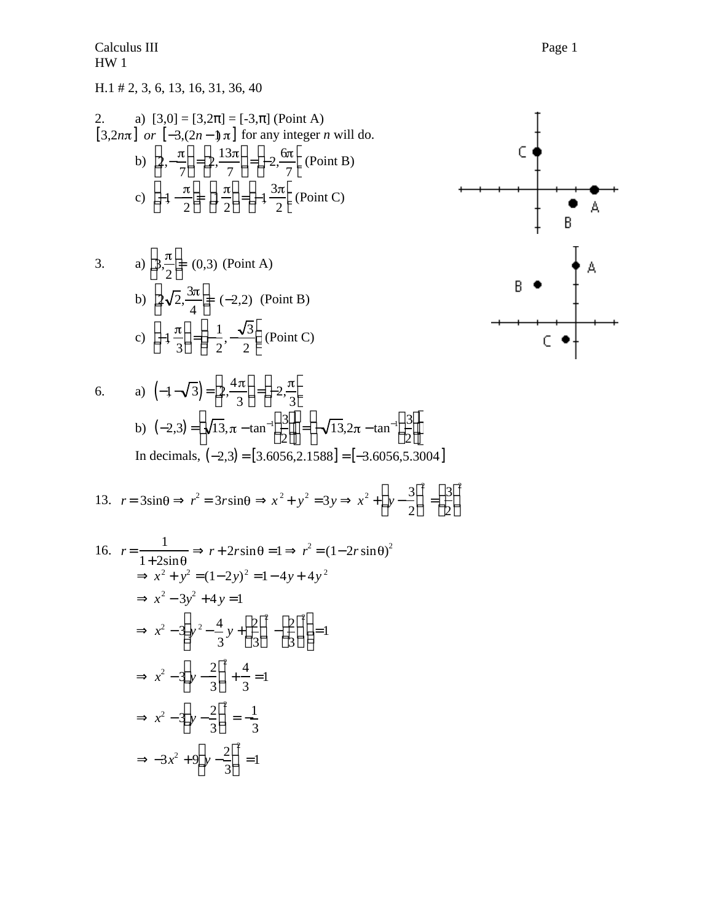Calculus III Page 1 HW 1

## H.1 # 2, 3, 6, 13, 16, 31, 36, 40

2. a) 
$$
[3,0] = [3,2] = [-3,](
$$
Point A)  
\n $[3,2n\pi]$  or  $[-3,(2n-1)\pi]$  for any integer *n* will do.  
\nb)  $2, -\frac{\pi}{7} = 2, \frac{13\pi}{7} = -2, \frac{6\pi}{7}$  (Point B)  
\nc)  $-1 - \frac{\pi}{2} = 1, \frac{\pi}{2} = -1, \frac{3\pi}{2}$  (Point C)

3. a) 
$$
3, \frac{\pi}{2} = (0,3)
$$
 (Point A)  
b)  $2\sqrt{2}, \frac{3\pi}{4} = (-2,2)$  (Point B)  
c)  $-1, \frac{\pi}{3} = -\frac{1}{2}, -\frac{\sqrt{3}}{2}$  (Point C)

6. a) 
$$
\left(-1 - \sqrt{3}\right) = 2, \frac{4\pi}{3} = -2, \frac{\pi}{3}
$$
  
\nb)  $\left(-2, 3\right) = \sqrt{13}, \pi - \tan^{-1} \frac{3}{2} = -\sqrt{13}, 2\pi - \tan^{-1} \frac{3}{2}$   
\nIn decimals,  $\left(-2, 3\right) = \left[3, 6056, 2.1588\right] = \left[-3, 6056, 5, 3004\right]$ 

13.  $r = 3\sin\theta$   $r^2 = 3r\sin\theta$   $x^2 + y^2 = 3y$   $x^2 + y - \frac{3}{2}$ 2  $\overline{a}$ 2  $=\frac{3}{2}$ 2  $\frac{1}{2}$  $\overline{a}$ 2

16. 
$$
r = \frac{1}{1 + 2\sin\theta}
$$
  $r + 2r\sin\theta = 1$   $r^2 = (1 - 2r\sin\theta)^2$   
\n $x^2 + y^2 = (1 - 2y)^2 = 1 - 4y + 4y^2$   
\n $x^2 - 3y^2 + 4y = 1$   
\n $x^2 - 3y^2 - \frac{4}{3}y + \frac{2}{3}y^2 - \frac{2}{3}y^2 = 1$   
\n $x^2 - 3y - \frac{2}{3}y^2 + \frac{4}{3}y = 1$   
\n $x^2 - 3y - \frac{2}{3}y^2 = -\frac{1}{3}$   
\n $-3x^2 + 9y - \frac{2}{3}y^2 = 1$